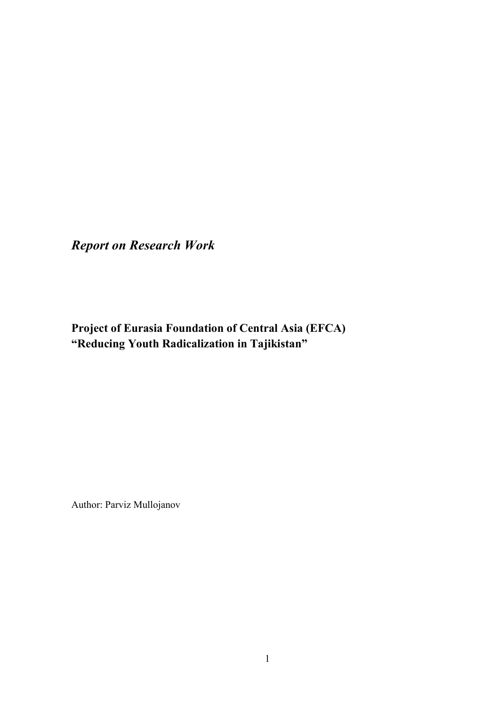*Report on Research Work* 

**Project of Eurasia Foundation of Central Asia (EFCA) "Reducing Youth Radicalization in Tajikistan"** 

Author: Parviz Mullojanov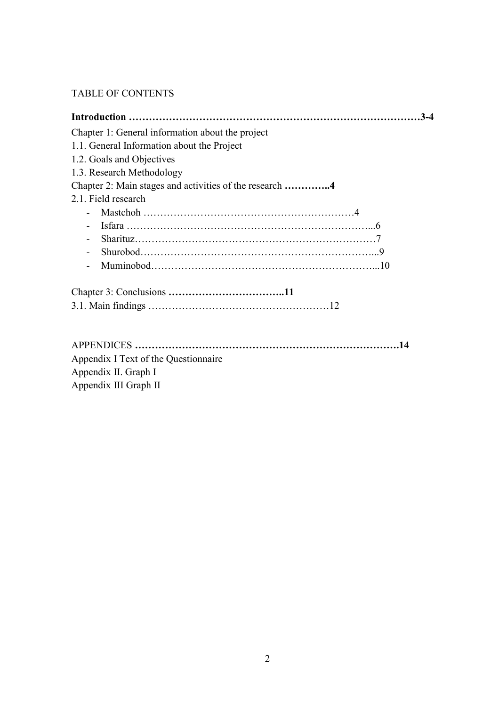## TABLE OF CONTENTS

| Chapter 1: General information about the project |
|--------------------------------------------------|
| 1.1. General Information about the Project       |
| 1.2. Goals and Objectives                        |
| 1.3. Research Methodology                        |
|                                                  |
| 2.1. Field research                              |
|                                                  |
|                                                  |
|                                                  |
| $\blacksquare$                                   |
|                                                  |
|                                                  |
|                                                  |
|                                                  |
|                                                  |
| Appendix I Text of the Questionnaire             |
| Appendix II. Graph I                             |
| Appendix III Graph II                            |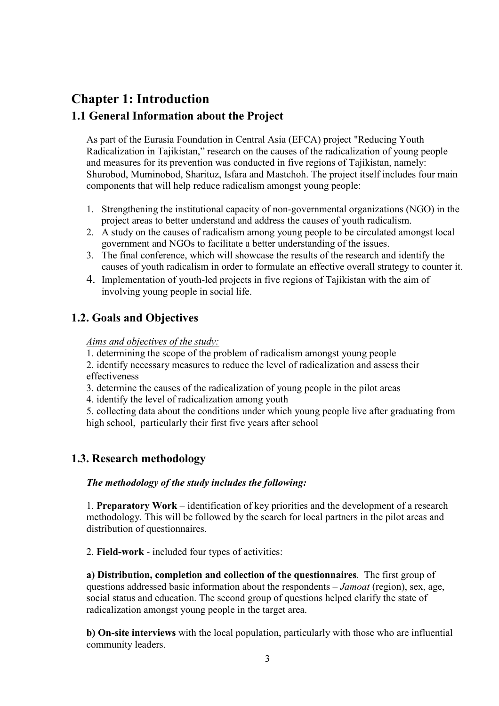# **Chapter 1: Introduction**

## **1.1 General Information about the Project**

As part of the Eurasia Foundation in Central Asia (EFCA) project "Reducing Youth Radicalization in Tajikistan," research on the causes of the radicalization of young people and measures for its prevention was conducted in five regions of Tajikistan, namely: Shurobod, Muminobod, Sharituz, Isfara and Mastchoh. The project itself includes four main components that will help reduce radicalism amongst young people:

- 1. Strengthening the institutional capacity of non-governmental organizations (NGO) in the project areas to better understand and address the causes of youth radicalism.
- 2. A study on the causes of radicalism among young people to be circulated amongst local government and NGOs to facilitate a better understanding of the issues.
- 3. The final conference, which will showcase the results of the research and identify the causes of youth radicalism in order to formulate an effective overall strategy to counter it.
- 4. Implementation of youth-led projects in five regions of Tajikistan with the aim of involving young people in social life.

# **1.2. Goals and Objectives**

*Aims and objectives of the study:*

1. determining the scope of the problem of radicalism amongst young people

2. identify necessary measures to reduce the level of radicalization and assess their effectiveness

- 3. determine the causes of the radicalization of young people in the pilot areas
- 4. identify the level of radicalization among youth

5. collecting data about the conditions under which young people live after graduating from high school, particularly their first five years after school

## **1.3. Research methodology**

#### *The methodology of the study includes the following:*

1. **Preparatory Work** – identification of key priorities and the development of a research methodology. This will be followed by the search for local partners in the pilot areas and distribution of questionnaires.

2. **Field-work** - included four types of activities:

**а) Distribution, completion and collection of the questionnaires**. The first group of questions addressed basic information about the respondents – *Jamoat* (region), sex, age, social status and education. The second group of questions helped clarify the state of radicalization amongst young people in the target area.

**b) On-site interviews** with the local population, particularly with those who are influential community leaders.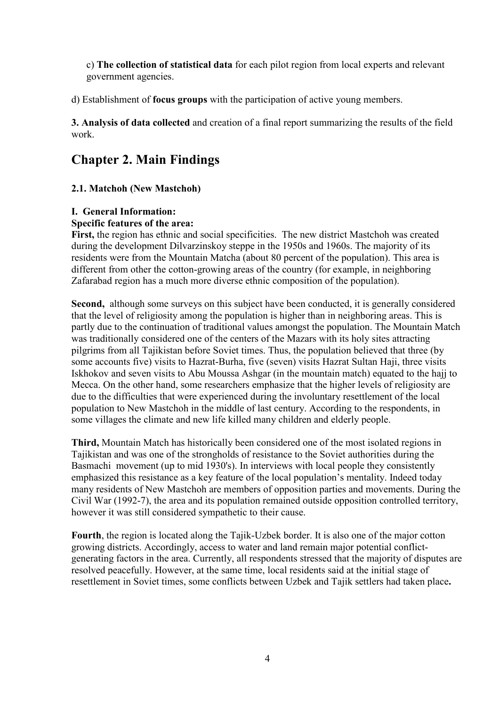c) **The collection of statistical data** for each pilot region from local experts and relevant government agencies.

d) Establishment of **focus groups** with the participation of active young members.

**3. Analysis of data collected** and creation of a final report summarizing the results of the field work.

# **Chapter 2. Main Findings**

### **2.1. Matchoh (New Mastchoh)**

#### **I. General Information:**

#### **Specific features of the area:**

**First,** the region has ethnic and social specificities.The new district Mastchoh was created during the development Dilvarzinskoy steppe in the 1950s and 1960s. The majority of its residents were from the Mountain Matcha (about 80 percent of the population). This area is different from other the cotton-growing areas of the country (for example, in neighboring Zafarabad region has a much more diverse ethnic composition of the population).

**Second,** although some surveys on this subject have been conducted, it is generally considered that the level of religiosity among the population is higher than in neighboring areas. This is partly due to the continuation of traditional values amongst the population. The Mountain Match was traditionally considered one of the centers of the Mazars with its holy sites attracting pilgrims from all Tajikistan before Soviet times. Thus, the population believed that three (by some accounts five) visits to Hazrat-Burha, five (seven) visits Hazrat Sultan Haji, three visits Iskhokov and seven visits to Abu Moussa Ashgar (in the mountain match) equated to the hajj to Mecca. On the other hand, some researchers emphasize that the higher levels of religiosity are due to the difficulties that were experienced during the involuntary resettlement of the local population to New Mastchoh in the middle of last century. According to the respondents, in some villages the climate and new life killed many children and elderly people.

**Third,** Mountain Match has historically been considered one of the most isolated regions in Tajikistan and was one of the strongholds of resistance to the Soviet authorities during the Basmachi movement (up to mid 1930's). In interviews with local people they consistently emphasized this resistance as a key feature of the local population's mentality. Indeed today many residents of New Mastchoh are members of opposition parties and movements. During the Civil War (1992-7), the area and its population remained outside opposition controlled territory, however it was still considered sympathetic to their cause.

**Fourth**, the region is located along the Tajik-Uzbek border. It is also one of the major cotton growing districts. Accordingly, access to water and land remain major potential conflictgenerating factors in the area. Currently, all respondents stressed that the majority of disputes are resolved peacefully. However, at the same time, local residents said at the initial stage of resettlement in Soviet times, some conflicts between Uzbek and Tajik settlers had taken place**.**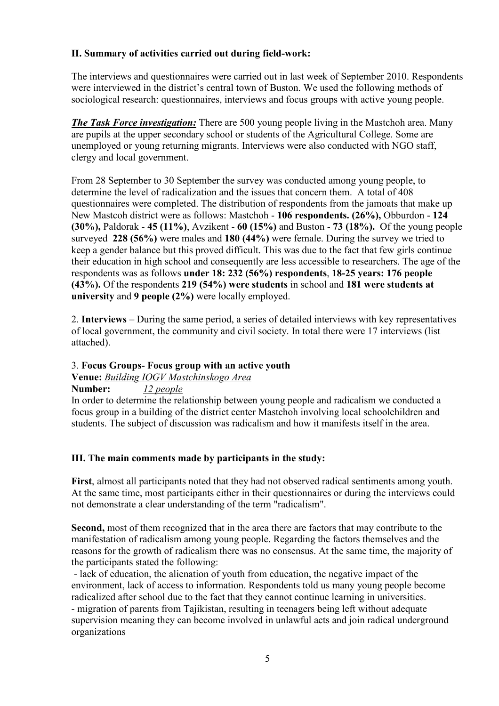### **II. Summary of activities carried out during field-work:**

The interviews and questionnaires were carried out in last week of September 2010. Respondents were interviewed in the district's central town of Buston. We used the following methods of sociological research: questionnaires, interviews and focus groups with active young people.

*The Task Force investigation:* There are 500 young people living in the Mastchoh area. Many are pupils at the upper secondary school or students of the Agricultural College. Some are unemployed or young returning migrants. Interviews were also conducted with NGO staff, clergy and local government.

From 28 September to 30 September the survey was conducted among young people, to determine the level of radicalization and the issues that concern them. A total of 408 questionnaires were completed. The distribution of respondents from the jamoats that make up New Mastcoh district were as follows: Mastchoh - **106 respondents. (26%),** Obburdon - **124 (30%),** Paldorak - **45 (11%)**, Avzikent - **60 (15%)** and Buston - **73 (18%).** Of the young people surveyed **228 (56%)** were males and **180 (44%)** were female. During the survey we tried to keep a gender balance but this proved difficult. This was due to the fact that few girls continue their education in high school and consequently are less accessible to researchers. The age of the respondents was as follows **under 18: 232 (56%) respondents**, **18-25 years: 176 people (43%).** Of the respondents **219 (54%) were students** in school and **181 were students at university** and **9 people (2%)** were locally employed.

2. **Interviews** – During the same period, a series of detailed interviews with key representatives of local government, the community and civil society. In total there were 17 interviews (list attached).

#### 3. **Focus Groups- Focus group with an active youth**

#### **Venue:** *Building IOGV Mastchinskogo Area*

**Number:** *12 people*

In order to determine the relationship between young people and radicalism we conducted a focus group in a building of the district center Mastchoh involving local schoolchildren and students. The subject of discussion was radicalism and how it manifests itself in the area.

#### **III. The main comments made by participants in the study:**

**First**, almost all participants noted that they had not observed radical sentiments among youth. At the same time, most participants either in their questionnaires or during the interviews could not demonstrate a clear understanding of the term "radicalism".

**Second,** most of them recognized that in the area there are factors that may contribute to the manifestation of radicalism among young people. Regarding the factors themselves and the reasons for the growth of radicalism there was no consensus. At the same time, the majority of the participants stated the following:

 - lack of education, the alienation of youth from education, the negative impact of the environment, lack of access to information. Respondents told us many young people become radicalized after school due to the fact that they cannot continue learning in universities. - migration of parents from Tajikistan, resulting in teenagers being left without adequate supervision meaning they can become involved in unlawful acts and join radical underground organizations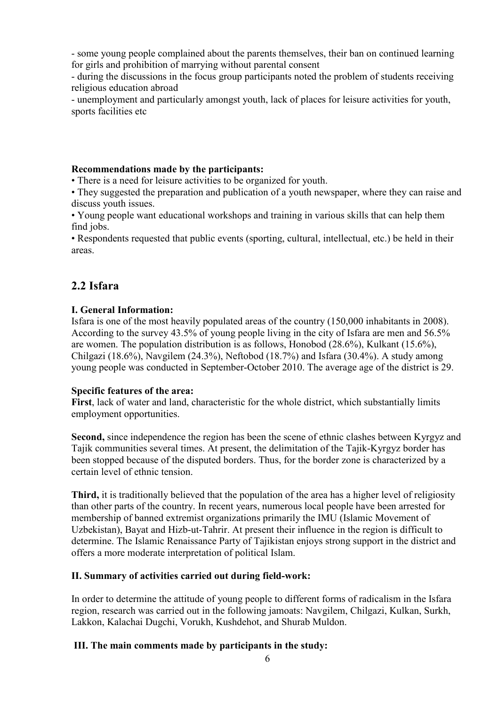- some young people complained about the parents themselves, their ban on continued learning for girls and prohibition of marrying without parental consent

- during the discussions in the focus group participants noted the problem of students receiving religious education abroad

- unemployment and particularly amongst youth, lack of places for leisure activities for youth, sports facilities etc

#### **Recommendations made by the participants:**

• There is a need for leisure activities to be organized for youth.

• They suggested the preparation and publication of a youth newspaper, where they can raise and discuss youth issues.

• Young people want educational workshops and training in various skills that can help them find jobs.

• Respondents requested that public events (sporting, cultural, intellectual, etc.) be held in their areas.

# **2.2 Isfara**

### **I. General Information:**

Isfara is one of the most heavily populated areas of the country (150,000 inhabitants in 2008). According to the survey 43.5% of young people living in the city of Isfara are men and 56.5% are women. The population distribution is as follows, Honobod (28.6%), Kulkant (15.6%), Chilgazi (18.6%), Navgilem (24.3%), Neftobod (18.7%) and Isfara (30.4%). A study among young people was conducted in September-October 2010. The average age of the district is 29.

#### **Specific features of the area:**

**First**, lack of water and land, characteristic for the whole district, which substantially limits employment opportunities.

**Second,** since independence the region has been the scene of ethnic clashes between Kyrgyz and Tajik communities several times. At present, the delimitation of the Tajik-Kyrgyz border has been stopped because of the disputed borders. Thus, for the border zone is characterized by a certain level of ethnic tension.

**Third,** it is traditionally believed that the population of the area has a higher level of religiosity than other parts of the country. In recent years, numerous local people have been arrested for membership of banned extremist organizations primarily the IMU (Islamic Movement of Uzbekistan), Bayat and Hizb-ut-Tahrir. At present their influence in the region is difficult to determine. The Islamic Renaissance Party of Tajikistan enjoys strong support in the district and offers a more moderate interpretation of political Islam.

## **II. Summary of activities carried out during field-work:**

In order to determine the attitude of young people to different forms of radicalism in the Isfara region, research was carried out in the following jamoats: Navgilem, Chilgazi, Kulkan, Surkh, Lakkon, Kalachai Dugchi, Vorukh, Kushdehot, and Shurab Muldon.

## **III. The main comments made by participants in the study:**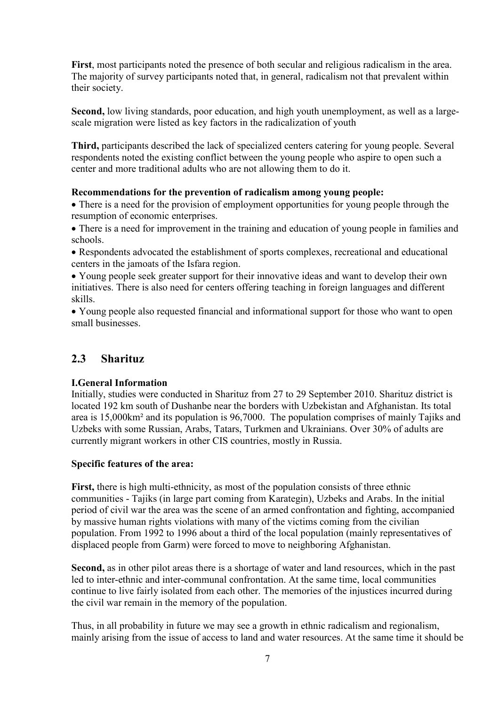**First**, most participants noted the presence of both secular and religious radicalism in the area. The majority of survey participants noted that, in general, radicalism not that prevalent within their society.

**Second,** low living standards, poor education, and high youth unemployment, as well as a largescale migration were listed as key factors in the radicalization of youth

**Third,** participants described the lack of specialized centers catering for young people. Several respondents noted the existing conflict between the young people who aspire to open such a center and more traditional adults who are not allowing them to do it.

#### **Recommendations for the prevention of radicalism among young people:**

• There is a need for the provision of employment opportunities for young people through the resumption of economic enterprises.

• There is a need for improvement in the training and education of young people in families and schools.

• Respondents advocated the establishment of sports complexes, recreational and educational centers in the jamoats of the Isfara region.

• Young people seek greater support for their innovative ideas and want to develop their own initiatives. There is also need for centers offering teaching in foreign languages and different skills.

• Young people also requested financial and informational support for those who want to open small businesses.

## **2.3 Sharituz**

#### **I.General Information**

Initially, studies were conducted in Sharituz from 27 to 29 September 2010. Sharituz district is located 192 km south of Dushanbe near the borders with Uzbekistan and Afghanistan. Its total area is 15,000km² and its population is 96,7000. The population comprises of mainly Tajiks and Uzbeks with some Russian, Arabs, Tatars, Turkmen and Ukrainians. Over 30% of adults are currently migrant workers in other CIS countries, mostly in Russia.

#### **Specific features of the area:**

**First,** there is high multi-ethnicity, as most of the population consists of three ethnic communities - Tajiks (in large part coming from Karategin), Uzbeks and Arabs. In the initial period of civil war the area was the scene of an armed confrontation and fighting, accompanied by massive human rights violations with many of the victims coming from the civilian population. From 1992 to 1996 about a third of the local population (mainly representatives of displaced people from Garm) were forced to move to neighboring Afghanistan.

**Second,** as in other pilot areas there is a shortage of water and land resources, which in the past led to inter-ethnic and inter-communal confrontation. At the same time, local communities continue to live fairly isolated from each other. The memories of the injustices incurred during the civil war remain in the memory of the population.

Thus, in all probability in future we may see a growth in ethnic radicalism and regionalism, mainly arising from the issue of access to land and water resources. At the same time it should be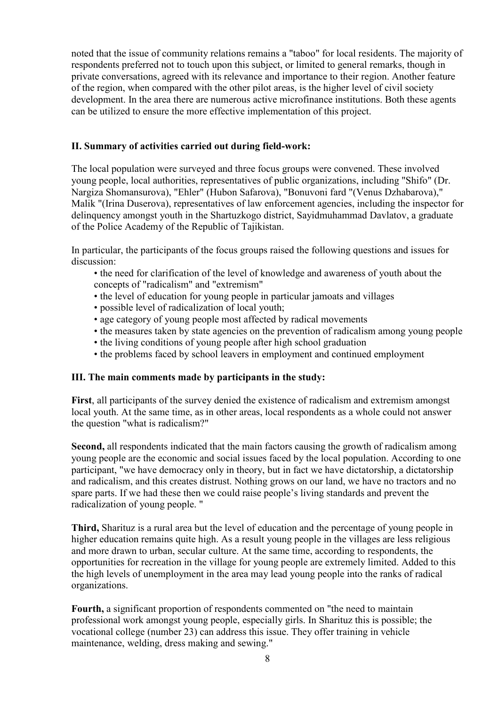noted that the issue of community relations remains a "taboo" for local residents. The majority of respondents preferred not to touch upon this subject, or limited to general remarks, though in private conversations, agreed with its relevance and importance to their region. Another feature of the region, when compared with the other pilot areas, is the higher level of civil society development. In the area there are numerous active microfinance institutions. Both these agents can be utilized to ensure the more effective implementation of this project.

#### **II. Summary of activities carried out during field-work:**

The local population were surveyed and three focus groups were convened. These involved young people, local authorities, representatives of public organizations, including "Shifo" (Dr. Nargiza Shomansurova), "Ehler" (Hubon Safarova), "Bonuvoni fard "(Venus Dzhabarova)," Malik "(Irina Duserova), representatives of law enforcement agencies, including the inspector for delinquency amongst youth in the Shartuzkogo district, Sayidmuhammad Davlatov, a graduate of the Police Academy of the Republic of Tajikistan.

In particular, the participants of the focus groups raised the following questions and issues for discussion:

- the need for clarification of the level of knowledge and awareness of youth about the concepts of "radicalism" and "extremism"
- the level of education for young people in particular jamoats and villages
- possible level of radicalization of local youth;
- age category of young people most affected by radical movements
- the measures taken by state agencies on the prevention of radicalism among young people
- the living conditions of young people after high school graduation
- the problems faced by school leavers in employment and continued employment

#### **III. The main comments made by participants in the study:**

**First**, all participants of the survey denied the existence of radicalism and extremism amongst local youth. At the same time, as in other areas, local respondents as a whole could not answer the question "what is radicalism?"

**Second,** all respondents indicated that the main factors causing the growth of radicalism among young people are the economic and social issues faced by the local population. According to one participant, "we have democracy only in theory, but in fact we have dictatorship, a dictatorship and radicalism, and this creates distrust. Nothing grows on our land, we have no tractors and no spare parts. If we had these then we could raise people's living standards and prevent the radicalization of young people. "

**Third,** Sharituz is a rural area but the level of education and the percentage of young people in higher education remains quite high. As a result young people in the villages are less religious and more drawn to urban, secular culture. At the same time, according to respondents, the opportunities for recreation in the village for young people are extremely limited. Added to this the high levels of unemployment in the area may lead young people into the ranks of radical organizations.

**Fourth,** a significant proportion of respondents commented on "the need to maintain professional work amongst young people, especially girls. In Sharituz this is possible; the vocational college (number 23) can address this issue. They offer training in vehicle maintenance, welding, dress making and sewing."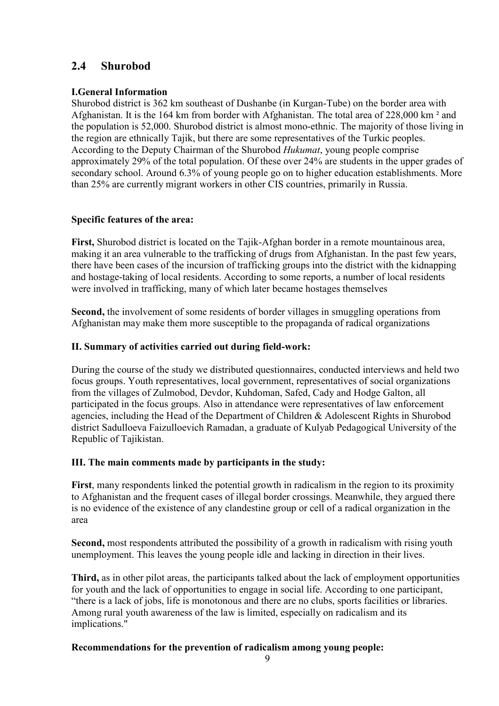# **2.4 Shurobod**

#### **I.General Information**

Shurobod district is 362 km southeast of Dushanbe (in Kurgan-Tube) on the border area with Afghanistan. It is the 164 km from border with Afghanistan. The total area of 228,000 km ² and the population is 52,000. Shurobod district is almost mono-ethnic. The majority of those living in the region are ethnically Tajik, but there are some representatives of the Turkic peoples. According to the Deputy Chairman of the Shurobod *Hukumat*, young people comprise approximately 29% of the total population. Of these over 24% are students in the upper grades of secondary school. Around 6.3% of young people go on to higher education establishments. More than 25% are currently migrant workers in other CIS countries, primarily in Russia.

### **Specific features of the area:**

**First,** Shurobod district is located on the Tajik-Afghan border in a remote mountainous area, making it an area vulnerable to the trafficking of drugs from Afghanistan. In the past few years, there have been cases of the incursion of trafficking groups into the district with the kidnapping and hostage-taking of local residents. According to some reports, a number of local residents were involved in trafficking, many of which later became hostages themselves

**Second,** the involvement of some residents of border villages in smuggling operations from Afghanistan may make them more susceptible to the propaganda of radical organizations

### **II. Summary of activities carried out during field-work:**

During the course of the study we distributed questionnaires, conducted interviews and held two focus groups. Youth representatives, local government, representatives of social organizations from the villages of Zulmobod, Devdor, Kuhdoman, Safed, Cady and Hodge Galton, all participated in the focus groups. Also in attendance were representatives of law enforcement agencies, including the Head of the Department of Children & Adolescent Rights in Shurobod district Sadulloeva Faizulloevich Ramadan, a graduate of Kulyab Pedagogical University of the Republic of Tajikistan.

#### **III. The main comments made by participants in the study:**

**First**, many respondents linked the potential growth in radicalism in the region to its proximity to Afghanistan and the frequent cases of illegal border crossings. Meanwhile, they argued there is no evidence of the existence of any clandestine group or cell of a radical organization in the area

**Second,** most respondents attributed the possibility of a growth in radicalism with rising youth unemployment. This leaves the young people idle and lacking in direction in their lives.

**Third,** as in other pilot areas, the participants talked about the lack of employment opportunities for youth and the lack of opportunities to engage in social life. According to one participant, "there is a lack of jobs, life is monotonous and there are no clubs, sports facilities or libraries. Among rural youth awareness of the law is limited, especially on radicalism and its implications."

### **Recommendations for the prevention of radicalism among young people:**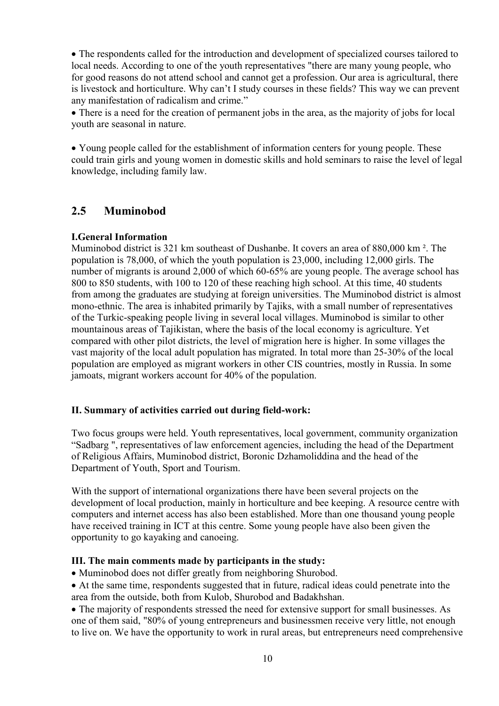• The respondents called for the introduction and development of specialized courses tailored to local needs. According to one of the youth representatives "there are many young people, who for good reasons do not attend school and cannot get a profession. Our area is agricultural, there is livestock and horticulture. Why can't I study courses in these fields? This way we can prevent any manifestation of radicalism and crime."

• There is a need for the creation of permanent jobs in the area, as the majority of jobs for local youth are seasonal in nature.

• Young people called for the establishment of information centers for young people. These could train girls and young women in domestic skills and hold seminars to raise the level of legal knowledge, including family law.

## **2.5 Muminobod**

#### **I.General Information**

Muminobod district is 321 km southeast of Dushanbe. It covers an area of 880,000 km ². The population is 78,000, of which the youth population is 23,000, including 12,000 girls. The number of migrants is around 2,000 of which 60-65% are young people. The average school has 800 to 850 students, with 100 to 120 of these reaching high school. At this time, 40 students from among the graduates are studying at foreign universities. The Muminobod district is almost mono-ethnic. The area is inhabited primarily by Tajiks, with a small number of representatives of the Turkic-speaking people living in several local villages. Muminobod is similar to other mountainous areas of Tajikistan, where the basis of the local economy is agriculture. Yet compared with other pilot districts, the level of migration here is higher. In some villages the vast majority of the local adult population has migrated. In total more than 25-30% of the local population are employed as migrant workers in other CIS countries, mostly in Russia. In some jamoats, migrant workers account for 40% of the population.

#### **II. Summary of activities carried out during field-work:**

Two focus groups were held. Youth representatives, local government, community organization "Sadbarg ", representatives of law enforcement agencies, including the head of the Department of Religious Affairs, Muminobod district, Boronic Dzhamoliddina and the head of the Department of Youth, Sport and Tourism.

With the support of international organizations there have been several projects on the development of local production, mainly in horticulture and bee keeping. A resource centre with computers and internet access has also been established. More than one thousand young people have received training in ICT at this centre. Some young people have also been given the opportunity to go kayaking and canoeing.

#### **III. The main comments made by participants in the study:**

• Muminobod does not differ greatly from neighboring Shurobod.

• At the same time, respondents suggested that in future, radical ideas could penetrate into the area from the outside, both from Kulob, Shurobod and Badakhshan.

• The majority of respondents stressed the need for extensive support for small businesses. As one of them said, "80% of young entrepreneurs and businessmen receive very little, not enough to live on. We have the opportunity to work in rural areas, but entrepreneurs need comprehensive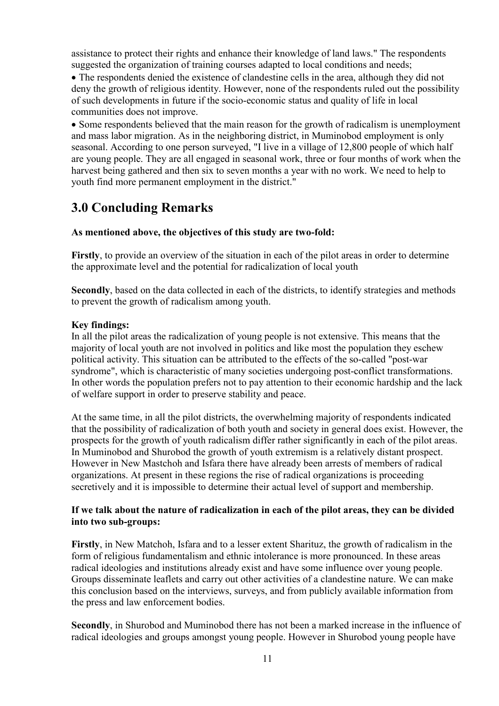assistance to protect their rights and enhance their knowledge of land laws." The respondents suggested the organization of training courses adapted to local conditions and needs;

• The respondents denied the existence of clandestine cells in the area, although they did not deny the growth of religious identity. However, none of the respondents ruled out the possibility of such developments in future if the socio-economic status and quality of life in local communities does not improve.

• Some respondents believed that the main reason for the growth of radicalism is unemployment and mass labor migration. As in the neighboring district, in Muminobod employment is only seasonal. According to one person surveyed, "I live in a village of 12,800 people of which half are young people. They are all engaged in seasonal work, three or four months of work when the harvest being gathered and then six to seven months a year with no work. We need to help to youth find more permanent employment in the district."

# **3.0 Concluding Remarks**

#### **As mentioned above, the objectives of this study are two-fold:**

**Firstly**, to provide an overview of the situation in each of the pilot areas in order to determine the approximate level and the potential for radicalization of local youth

**Secondly**, based on the data collected in each of the districts, to identify strategies and methods to prevent the growth of radicalism among youth.

#### **Key findings:**

In all the pilot areas the radicalization of young people is not extensive. This means that the majority of local youth are not involved in politics and like most the population they eschew political activity. This situation can be attributed to the effects of the so-called "post-war syndrome", which is characteristic of many societies undergoing post-conflict transformations. In other words the population prefers not to pay attention to their economic hardship and the lack of welfare support in order to preserve stability and peace.

At the same time, in all the pilot districts, the overwhelming majority of respondents indicated that the possibility of radicalization of both youth and society in general does exist. However, the prospects for the growth of youth radicalism differ rather significantly in each of the pilot areas. In Muminobod and Shurobod the growth of youth extremism is a relatively distant prospect. However in New Mastchoh and Isfara there have already been arrests of members of radical organizations. At present in these regions the rise of radical organizations is proceeding secretively and it is impossible to determine their actual level of support and membership.

#### **If we talk about the nature of radicalization in each of the pilot areas, they can be divided into two sub-groups:**

**Firstly**, in New Matchoh, Isfara and to a lesser extent Sharituz, the growth of radicalism in the form of religious fundamentalism and ethnic intolerance is more pronounced. In these areas radical ideologies and institutions already exist and have some influence over young people. Groups disseminate leaflets and carry out other activities of a clandestine nature. We can make this conclusion based on the interviews, surveys, and from publicly available information from the press and law enforcement bodies.

**Secondly**, in Shurobod and Muminobod there has not been a marked increase in the influence of radical ideologies and groups amongst young people. However in Shurobod young people have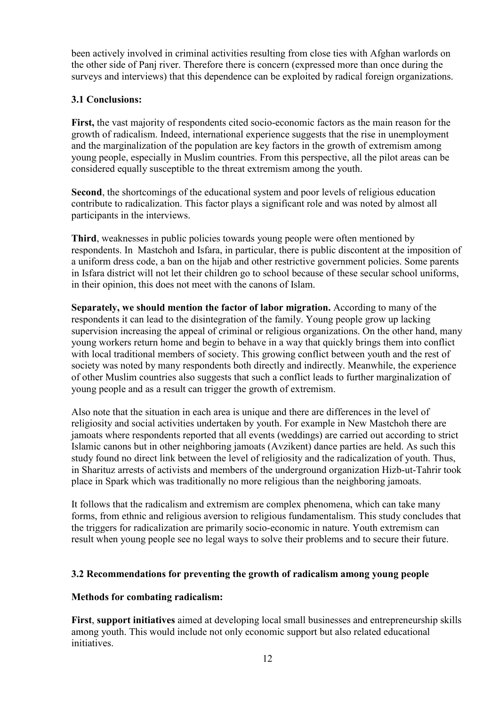been actively involved in criminal activities resulting from close ties with Afghan warlords on the other side of Panj river. Therefore there is concern (expressed more than once during the surveys and interviews) that this dependence can be exploited by radical foreign organizations.

### **3.1 Conclusions:**

**First,** the vast majority of respondents cited socio-economic factors as the main reason for the growth of radicalism. Indeed, international experience suggests that the rise in unemployment and the marginalization of the population are key factors in the growth of extremism among young people, especially in Muslim countries. From this perspective, all the pilot areas can be considered equally susceptible to the threat extremism among the youth.

**Second**, the shortcomings of the educational system and poor levels of religious education contribute to radicalization. This factor plays a significant role and was noted by almost all participants in the interviews.

**Third**, weaknesses in public policies towards young people were often mentioned by respondents. In Mastchoh and Isfara, in particular, there is public discontent at the imposition of a uniform dress code, a ban on the hijab and other restrictive government policies. Some parents in Isfara district will not let their children go to school because of these secular school uniforms, in their opinion, this does not meet with the canons of Islam.

**Separately, we should mention the factor of labor migration.** According to many of the respondents it can lead to the disintegration of the family. Young people grow up lacking supervision increasing the appeal of criminal or religious organizations. On the other hand, many young workers return home and begin to behave in a way that quickly brings them into conflict with local traditional members of society. This growing conflict between youth and the rest of society was noted by many respondents both directly and indirectly. Meanwhile, the experience of other Muslim countries also suggests that such a conflict leads to further marginalization of young people and as a result can trigger the growth of extremism.

Also note that the situation in each area is unique and there are differences in the level of religiosity and social activities undertaken by youth. For example in New Mastchoh there are jamoats where respondents reported that all events (weddings) are carried out according to strict Islamic canons but in other neighboring jamoats (Avzikent) dance parties are held. As such this study found no direct link between the level of religiosity and the radicalization of youth. Thus, in Sharituz arrests of activists and members of the underground organization Hizb-ut-Tahrir took place in Spark which was traditionally no more religious than the neighboring jamoats.

It follows that the radicalism and extremism are complex phenomena, which can take many forms, from ethnic and religious aversion to religious fundamentalism. This study concludes that the triggers for radicalization are primarily socio-economic in nature. Youth extremism can result when young people see no legal ways to solve their problems and to secure their future.

#### **3.2 Recommendations for preventing the growth of radicalism among young people**

#### **Methods for combating radicalism:**

**First**, **support initiatives** aimed at developing local small businesses and entrepreneurship skills among youth. This would include not only economic support but also related educational initiatives.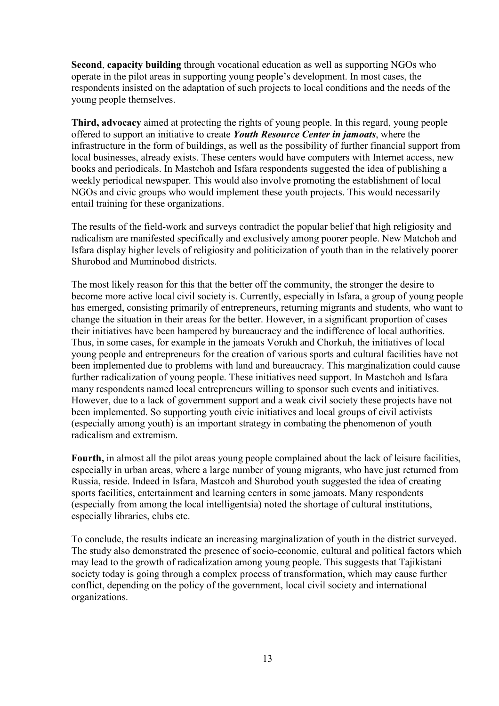**Second**, **capacity building** through vocational education as well as supporting NGOs who operate in the pilot areas in supporting young people's development. In most cases, the respondents insisted on the adaptation of such projects to local conditions and the needs of the young people themselves.

**Third, advocacy** aimed at protecting the rights of young people. In this regard, young people offered to support an initiative to create *Youth Resource Center in jamoats*, where the infrastructure in the form of buildings, as well as the possibility of further financial support from local businesses, already exists. These centers would have computers with Internet access, new books and periodicals. In Mastchoh and Isfara respondents suggested the idea of publishing a weekly periodical newspaper. This would also involve promoting the establishment of local NGOs and civic groups who would implement these youth projects. This would necessarily entail training for these organizations.

The results of the field-work and surveys contradict the popular belief that high religiosity and radicalism are manifested specifically and exclusively among poorer people. New Matchoh and Isfara display higher levels of religiosity and politicization of youth than in the relatively poorer Shurobod and Muminobod districts.

The most likely reason for this that the better off the community, the stronger the desire to become more active local civil society is. Currently, especially in Isfara, a group of young people has emerged, consisting primarily of entrepreneurs, returning migrants and students, who want to change the situation in their areas for the better. However, in a significant proportion of cases their initiatives have been hampered by bureaucracy and the indifference of local authorities. Thus, in some cases, for example in the jamoats Vorukh and Chorkuh, the initiatives of local young people and entrepreneurs for the creation of various sports and cultural facilities have not been implemented due to problems with land and bureaucracy. This marginalization could cause further radicalization of young people. These initiatives need support. In Mastchoh and Isfara many respondents named local entrepreneurs willing to sponsor such events and initiatives. However, due to a lack of government support and a weak civil society these projects have not been implemented. So supporting youth civic initiatives and local groups of civil activists (especially among youth) is an important strategy in combating the phenomenon of youth radicalism and extremism.

**Fourth,** in almost all the pilot areas young people complained about the lack of leisure facilities, especially in urban areas, where a large number of young migrants, who have just returned from Russia, reside. Indeed in Isfara, Mastcoh and Shurobod youth suggested the idea of creating sports facilities, entertainment and learning centers in some jamoats. Many respondents (especially from among the local intelligentsia) noted the shortage of cultural institutions, especially libraries, clubs etc.

To conclude, the results indicate an increasing marginalization of youth in the district surveyed. The study also demonstrated the presence of socio-economic, cultural and political factors which may lead to the growth of radicalization among young people. This suggests that Tajikistani society today is going through a complex process of transformation, which may cause further conflict, depending on the policy of the government, local civil society and international organizations.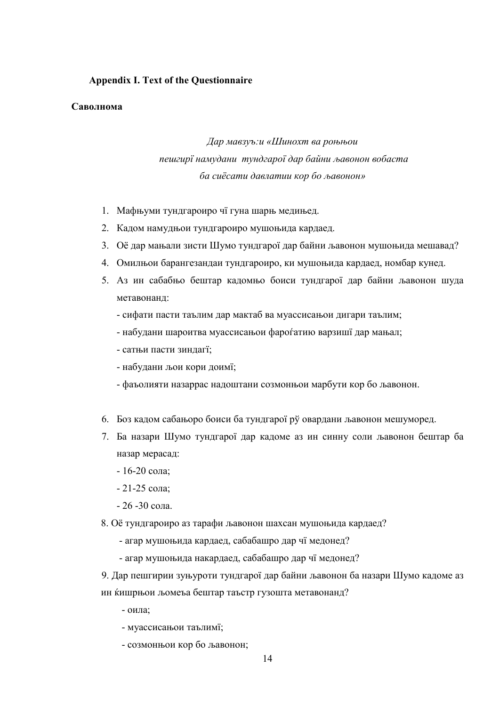#### **Appendix I. Text of the Questionnaire**

#### **Саволнома**

# *Дар мавзуъ:и «Шинохт ва роњњои пешгирї намудани тундгарої дар байни љавонон вобаста ба сиёсати давлатии кор бо љавонон»*

- 1. Мафњуми тундгароиро чї гуна шарњ медињед.
- 2. Кадом намудњои тундгароиро мушоњида кардаед.
- 3. Оё дар мањали зисти Шумо тундгарої дар байни љавонон мушоњида мешавад?
- 4. Омилњои барангезандаи тундгароиро, ки мушоњида кардаед, номбар кунед.
- 5. Аз ин сабабњо бештар кадомњо боиси тундгарої дар байни љавонон шуда метавонанд:
	- сифати пасти таълим дар мактаб ва муассисањои дигари таълим;
	- набудани шароитва муассисањои фароѓатию варзишї дар мањал;
	- сатњи пасти зиндагї;
	- набудани љои кори доимї;
	- фаъолияти назаррас надоштани созмонњои марбути кор бо љавонон.
- 6. Боз кадом сабањоро боиси ба тундгарої рў овардани љавонон мешуморед.
- 7. Ба назари Шумо тундгарої дар кадоме аз ин синну соли љавонон бештар ба назар мерасад:
	- 16-20 сола;
	- 21-25 сола;
	- 26 -30 сола.
- 8. Оё тундгароиро аз тарафи љавонон шахсан мушоњида кардаед?
	- агар мушоњида кардаед, сабабашро дар чї медонед?
	- агар мушоњида накардаед, сабабашро дар чї медонед?
- 9. Дар пешгирии зуњуроти тундгарої дар байни љавонон ба назари Шумо кадоме аз ин ќишрњои љомеъа бештар таъстр гузошта метавонанд?
	- оила;
	- муассисањои таълимї;
	- созмонњои кор бо љавонон;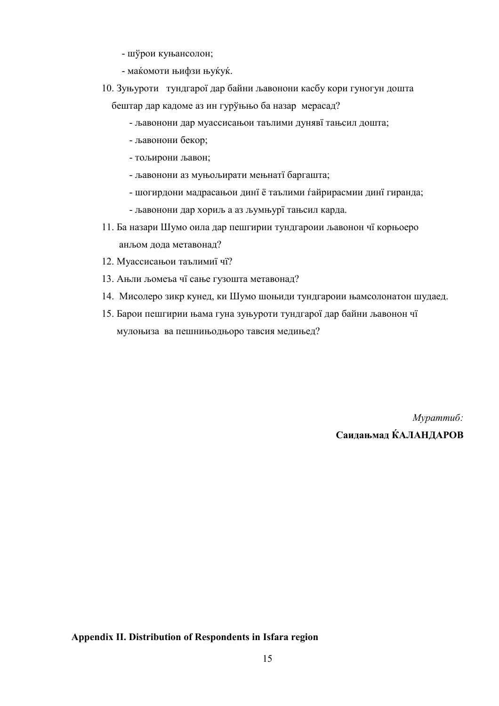- шўрои куњансолон;
- маќомоти њифзи њуќуќ.
- 10. Зуњуроти тундгарої дар байни љавонони касбу кори гуногун дошта бештар дар кадоме аз ин гурўњњо ба назар мерасад?
	- љавонони дар муассисањои таълими дунявї тањсил дошта;
	- љавонони бекор;
	- тољирони љавон;
	- љавонони аз муњољирати мењнатї баргашта;
	- шогирдони мадрасањои динї ё таълими ѓайрирасмии динї гиранда;
	- љавонони дар хориљ а аз љумњурї тањсил карда.
- 11. Ба назари Шумо оила дар пешгирии тундгароии љавонон чї корњоеро анљом дода метавонад?
- 12. Муассисањои таълимиї чї?
- 13. Ањли љомеъа чї сање гузошта метавонад?
- 14. Мисолеро зикр кунед, ки Шумо шоњиди тундгароии њамсолонатон шудаед.
- 15. Барои пешгирии њама гуна зуњуроти тундгарої дар байни љавонон чї мулоњиза ва пешнињодњоро тавсия медињед?

*Мураттиб:*  **Саидањмад ЌАЛАНДАРОВ**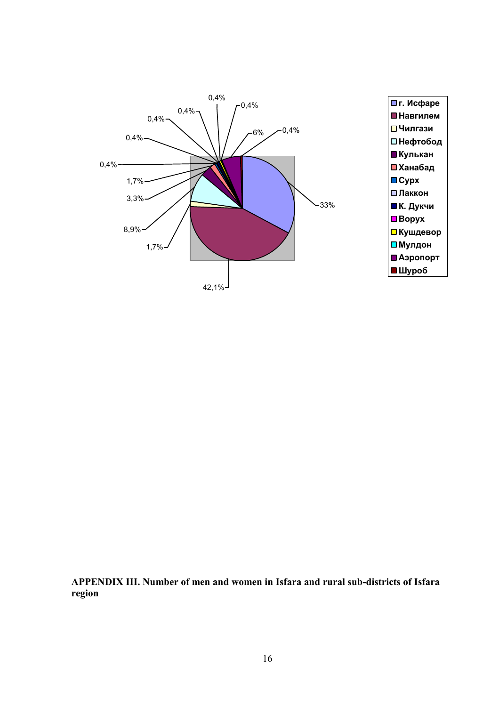

**APPENDIX III. Number of men and women in Isfara and rural sub-districts of Isfara region**